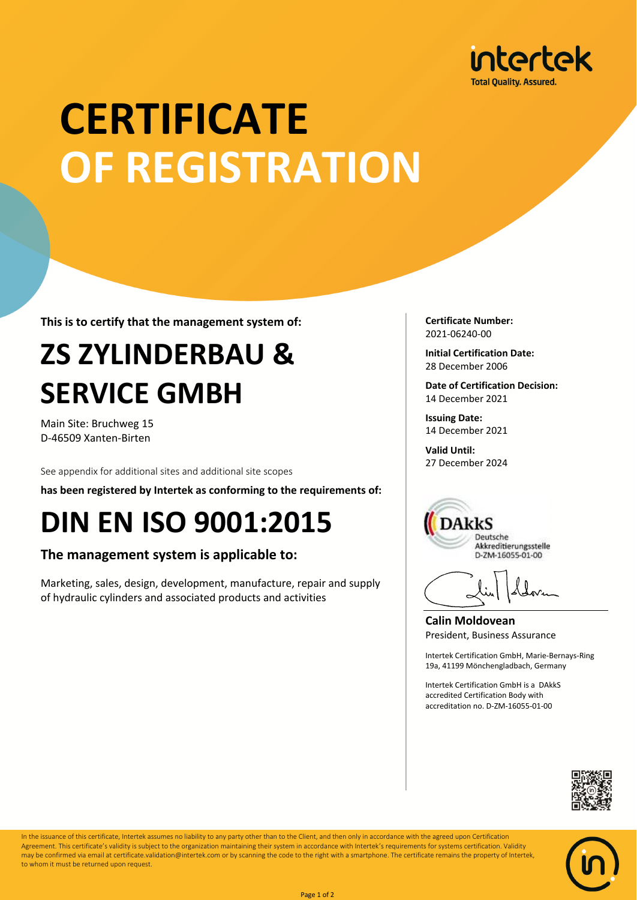

# **CERTIFICATE OF REGISTRATION**

**This is to certify that the management system of:**

## **ZS ZYLINDERBAU & SERVICE GMBH**

Main Site: Bruchweg 15 D-46509 Xanten-Birten

See appendix for additional sites and additional site scopes

**has been registered by Intertek as conforming to the requirements of:**

### **DIN EN ISO 9001:2015**

### **The management system is applicable to:**

Marketing, sales, design, development, manufacture, repair and supply of hydraulic cylinders and associated products and activities

**Certificate Number:** 2021-06240-00

**Initial Certification Date:** 28 December 2006

**Date of Certification Decision:** 14 December 2021

**Issuing Date:** 14 December 2021

**Valid Until:** 27 December 2024



**Calin Moldovean** President, Business Assurance

Intertek Certification GmbH, Marie-Bernays-Ring 19a, 41199 Mönchengladbach, Germany

Intertek Certification GmbH is a DAkkS accredited Certification Body with accreditation no. D-ZM-16055-01-00





In the issuance of this certificate, Intertek assumes no liability to any party other than to the Client, and then only in accordance with the agreed upon Certification Agreement. This certificate's validity is subject to the organization maintaining their system in accordance with Intertek's requirements for systems certification. Validity may be confirmed via email at certificate.validation@intertek.com or by scanning the code to the right with a smartphone. The certificate remains the property of Intertek, to whom it must be returned upon request.